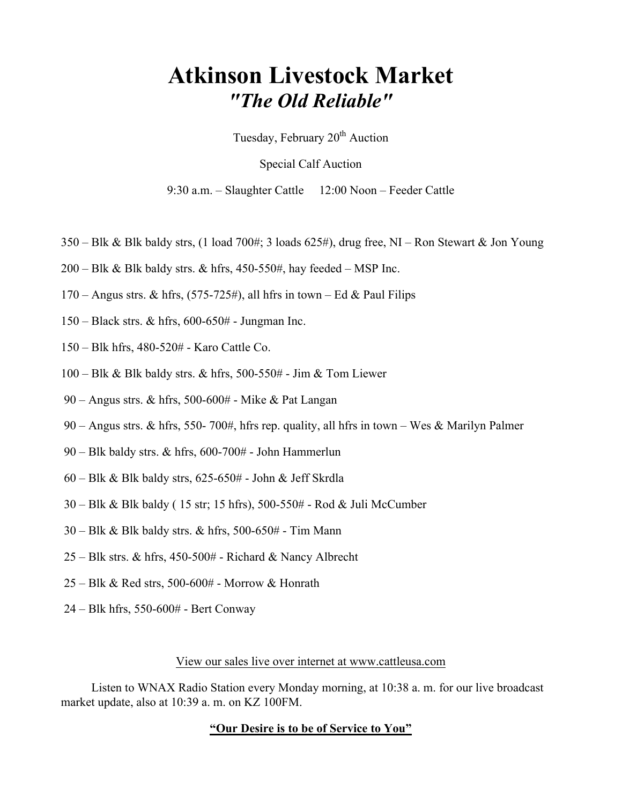## Atkinson Livestock Market "The Old Reliable"

Tuesday, February 20<sup>th</sup> Auction

Special Calf Auction

9:30 a.m. – Slaughter Cattle 12:00 Noon – Feeder Cattle

- 350 Blk & Blk baldy strs, (1 load 700#; 3 loads 625#), drug free, NI Ron Stewart & Jon Young
- $200 B$ lk & Blk baldy strs. & hfrs, 450-550#, hay feeded MSP Inc.
- $170 -$  Angus strs. & hfrs,  $(575-725\text{\#})$ , all hfrs in town Ed & Paul Filips
- 150 Black strs. & hfrs, 600-650# Jungman Inc.
- 150 Blk hfrs, 480-520# Karo Cattle Co.
- 100 Blk & Blk baldy strs. & hfrs, 500-550# Jim & Tom Liewer
- 90 Angus strs. & hfrs, 500-600# Mike & Pat Langan
- 90 Angus strs. & hfrs, 550- 700#, hfrs rep. quality, all hfrs in town Wes & Marilyn Palmer
- 90 Blk baldy strs. & hfrs, 600-700# John Hammerlun
- 60 Blk & Blk baldy strs, 625-650# John & Jeff Skrdla
- 30 Blk & Blk baldy ( 15 str; 15 hfrs), 500-550# Rod & Juli McCumber
- 30 Blk & Blk baldy strs. & hfrs, 500-650# Tim Mann
- 25 Blk strs. & hfrs, 450-500# Richard & Nancy Albrecht
- 25 Blk & Red strs, 500-600# Morrow & Honrath
- 24 Blk hfrs, 550-600# Bert Conway

## View our sales live over internet at www.cattleusa.com

 Listen to WNAX Radio Station every Monday morning, at 10:38 a. m. for our live broadcast market update, also at 10:39 a. m. on KZ 100FM.

## "Our Desire is to be of Service to You"